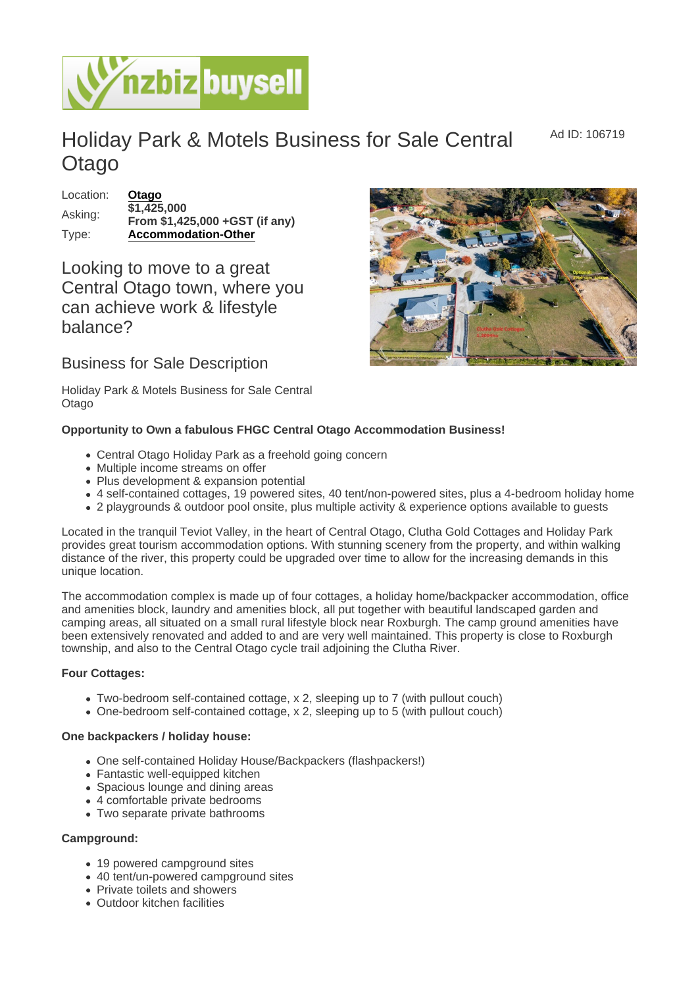Ad ID: 106719

## Holiday Park & Motels Business for Sale Central **Otago**

Location: [Otago](https://www.nzbizbuysell.co.nz/businesses-for-sale/location/Otago) Asking:  $\overline{$1,425,000}$ From \$1,425,000 +GST (if any) Type: [Accommodation-Other](https://www.nzbizbuysell.co.nz/businesses-for-sale/Accommodation-Other/New-Zealand)

Looking to move to a great Central Otago town, where you can achieve work & lifestyle balance?

## Business for Sale Description

Holiday Park & Motels Business for Sale Central Otago

Opportunity to Own a fabulous FHGC Central Otago Accommodation Business!

- Central Otago Holiday Park as a freehold going concern
- Multiple income streams on offer
- Plus development & expansion potential
- 4 self-contained cottages, 19 powered sites, 40 tent/non-powered sites, plus a 4-bedroom holiday home
- 2 playgrounds & outdoor pool onsite, plus multiple activity & experience options available to guests

Located in the tranquil Teviot Valley, in the heart of Central Otago, Clutha Gold Cottages and Holiday Park provides great tourism accommodation options. With stunning scenery from the property, and within walking distance of the river, this property could be upgraded over time to allow for the increasing demands in this unique location.

The accommodation complex is made up of four cottages, a holiday home/backpacker accommodation, office and amenities block, laundry and amenities block, all put together with beautiful landscaped garden and camping areas, all situated on a small rural lifestyle block near Roxburgh. The camp ground amenities have been extensively renovated and added to and are very well maintained. This property is close to Roxburgh township, and also to the Central Otago cycle trail adjoining the Clutha River.

Four Cottages:

- Two-bedroom self-contained cottage, x 2, sleeping up to 7 (with pullout couch)
- One-bedroom self-contained cottage, x 2, sleeping up to 5 (with pullout couch)

One backpackers / holiday house:

- One self-contained Holiday House/Backpackers (flashpackers!)
- Fantastic well-equipped kitchen
- Spacious lounge and dining areas
- 4 comfortable private bedrooms
- Two separate private bathrooms

Campground:

- 19 powered campground sites
- 40 tent/un-powered campground sites
- Private toilets and showers
- Outdoor kitchen facilities